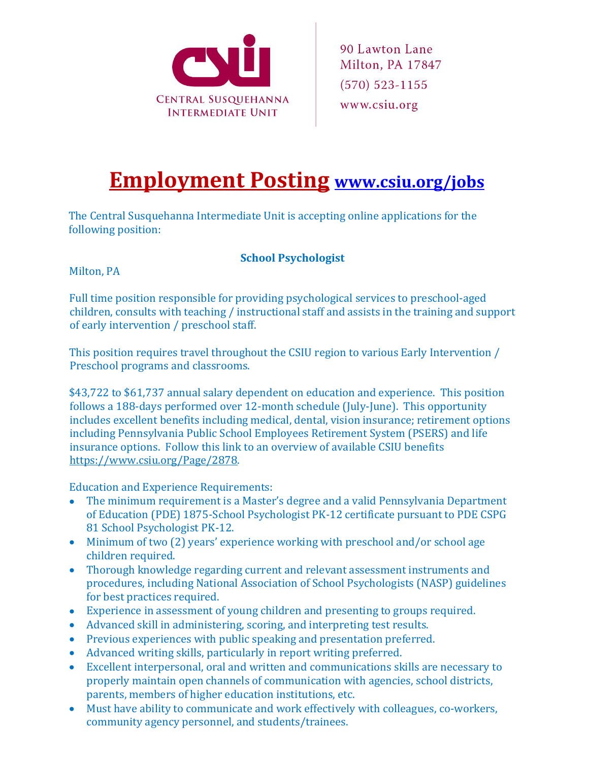

## **Employment Posting [www.csiu.org/jobs](http://www.csiu.org/jobs)**

The Central Susquehanna Intermediate Unit is accepting online applications for the following position:

## **School Psychologist**

Milton, PA

Full time position responsible for providing psychological services to preschool-aged children, consults with teaching / instructional staff and assists in the training and support of early intervention / preschool staff.

This position requires travel throughout the CSIU region to various Early Intervention / Preschool programs and classrooms.

\$43,722 to \$61,737 annual salary dependent on education and experience. This position follows a 188-days performed over 12-month schedule (July-June). This opportunity includes excellent benefits including medical, dental, vision insurance; retirement options including Pennsylvania Public School Employees Retirement System (PSERS) and life insurance options. Follow this link to an overview of available CSIU benefits [https://www.csiu.org/Page/2878.](https://www.csiu.org/Page/2878)

Education and Experience Requirements:

- The minimum requirement is a Master's degree and a valid Pennsylvania Department of Education (PDE) 1875-School Psychologist PK-12 certificate pursuant to PDE CSPG 81 School Psychologist PK-12.
- Minimum of two (2) years' experience working with preschool and/or school age children required.
- Thorough knowledge regarding current and relevant assessment instruments and procedures, including National Association of School Psychologists (NASP) guidelines for best practices required.
- Experience in assessment of young children and presenting to groups required.
- Advanced skill in administering, scoring, and interpreting test results.
- Previous experiences with public speaking and presentation preferred.
- Advanced writing skills, particularly in report writing preferred.
- Excellent interpersonal, oral and written and communications skills are necessary to properly maintain open channels of communication with agencies, school districts, parents, members of higher education institutions, etc.
- Must have ability to communicate and work effectively with colleagues, co-workers, community agency personnel, and students/trainees.